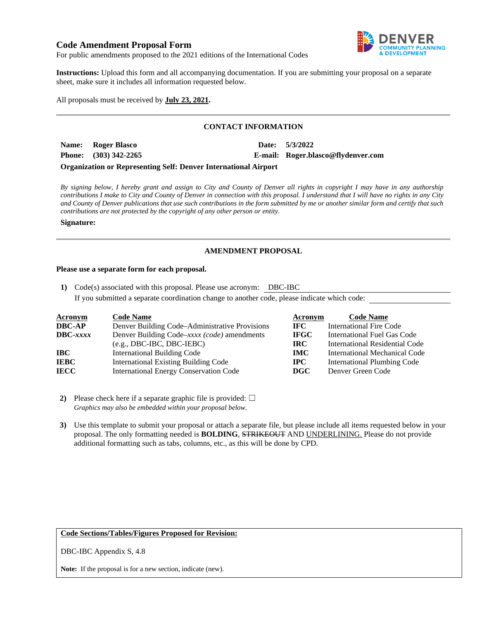## **Code Amendment Proposal Form**



For public amendments proposed to the 2021 editions of the International Codes

**Instructions:** Upload this form and all accompanying documentation. If you are submitting your proposal on a separate sheet, make sure it includes all information requested below.

All proposals must be received by **July 23, 2021.** 

## **CONTACT INFORMATION**

| Name: Roger Blasco      |  | Date: 5/3/2022                     |
|-------------------------|--|------------------------------------|
| Phone: $(303)$ 342-2265 |  | E-mail: Roger.blasco@flydenver.com |
|                         |  |                                    |

**Organization or Representing Self: Denver International Airport** 

*By signing below, I hereby grant and assign to City and County of Denver all rights in copyright I may have in any authorship contributions I make to City and County of Denver in connection with this proposal. I understand that I will have no rights in any City and County of Denver publications that use such contributions in the form submitted by me or another similar form and certify that such contributions are not protected by the copyright of any other person or entity.* 

#### **Signature:**

#### **AMENDMENT PROPOSAL**

#### **Please use a separate form for each proposal.**

**1)** Code(s) associated with this proposal. Please use acronym: DBC-IBC If you submitted a separate coordination change to another code, please indicate which code:

| <b>Acronym</b>    | <b>Code Name</b>                               | Acronym     | <b>Code Name</b>               |
|-------------------|------------------------------------------------|-------------|--------------------------------|
| <b>DBC-AP</b>     | Denver Building Code–Administrative Provisions | IFC -       | <b>International Fire Code</b> |
| $\text{DBC}-xxxx$ | Denver Building Code–xxxx (code) amendments    | <b>IFGC</b> | International Fuel Gas Code    |
|                   | $(e.g., DBC-IBC, DBC-IEBC)$                    | IRC-        | International Residential Code |
| IBC               | International Building Code                    | <b>IMC</b>  | International Mechanical Code  |
| <b>IEBC</b>       | <b>International Existing Building Code</b>    | $\bf IPC$   | International Plumbing Code    |
| <b>IECC</b>       | <b>International Energy Conservation Code</b>  | DGC         | Denver Green Code              |

**2)** Please check here if a separate graphic file is provided:  $\Box$ *Graphics may also be embedded within your proposal below.* 

**3)** Use this template to submit your proposal or attach a separate file, but please include all items requested below in your proposal. The only formatting needed is **BOLDING**, STRIKEOUT AND UNDERLINING. Please do not provide additional formatting such as tabs, columns, etc., as this will be done by CPD.

# **Code Sections/Tables/Figures Proposed for Revision:**

DBC-IBC Appendix S, 4.8

**Note:** If the proposal is for a new section, indicate (new).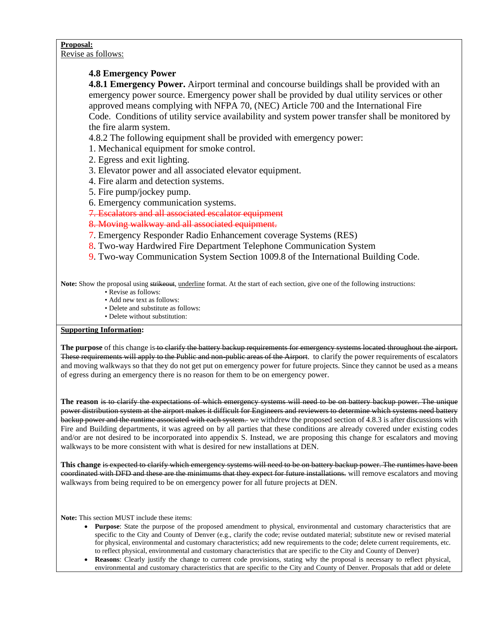# **Proposal:**

Revise as follows:

# **4.8 Emergency Power**

**4.8.1 Emergency Power.** Airport terminal and concourse buildings shall be provided with an emergency power source. Emergency power shall be provided by dual utility services or other approved means complying with NFPA 70, (NEC) Article 700 and the International Fire Code. Conditions of utility service availability and system power transfer shall be monitored by the fire alarm system.

4.8.2 The following equipment shall be provided with emergency power:

- 1. Mechanical equipment for smoke control.
- 2. Egress and exit lighting.
- 3. Elevator power and all associated elevator equipment.
- 4. Fire alarm and detection systems.
- 5. Fire pump/jockey pump.
- 6. Emergency communication systems.

7. Escalators and all associated escalator equipment

8. Moving walkway and all associated equipment.

- 7. Emergency Responder Radio Enhancement coverage Systems (RES)
- 8. Two-way Hardwired Fire Department Telephone Communication System
- 9. Two-way Communication System Section 1009.8 of the International Building Code.

Note: Show the proposal using strikeout, underline format. At the start of each section, give one of the following instructions:

- Revise as follows:
- Add new text as follows:
- Delete and substitute as follows:
- Delete without substitution:

## **Supporting Information:**

**The purpose** of this change is to clarify the battery backup requirements for emergency systems located throughout the airport. These requirements will apply to the Public and non-public areas of the Airport. to clarify the power requirements of escalators and moving walkways so that they do not get put on emergency power for future projects. Since they cannot be used as a means of egress during an emergency there is no reason for them to be on emergency power.

**The reason** is to clarify the expectations of which emergency systems will need to be on battery backup power. The unique power distribution system at the airport makes it difficult for Engineers and reviewers to determine which systems need battery backup power and the runtime associated with each system. we withdrew the proposed section of 4.8.3 is after discussions with Fire and Building departments, it was agreed on by all parties that these conditions are already covered under existing codes and/or are not desired to be incorporated into appendix S. Instead, we are proposing this change for escalators and moving walkways to be more consistent with what is desired for new installations at DEN.

**This change** is expected to clarify which emergency systems will need to be on battery backup power. The runtimes have been coordinated with DFD and these are the minimums that they expect for future installations. will remove escalators and moving walkways from being required to be on emergency power for all future projects at DEN.

**Note:** This section MUST include these items:

- **Purpose**: State the purpose of the proposed amendment to physical, environmental and customary characteristics that are specific to the City and County of Denver (e.g., clarify the code; revise outdated material; substitute new or revised material for physical, environmental and customary characteristics; add new requirements to the code; delete current requirements, etc. to reflect physical, environmental and customary characteristics that are specific to the City and County of Denver)
- **Reasons**: Clearly justify the change to current code provisions, stating why the proposal is necessary to reflect physical, environmental and customary characteristics that are specific to the City and County of Denver. Proposals that add or delete